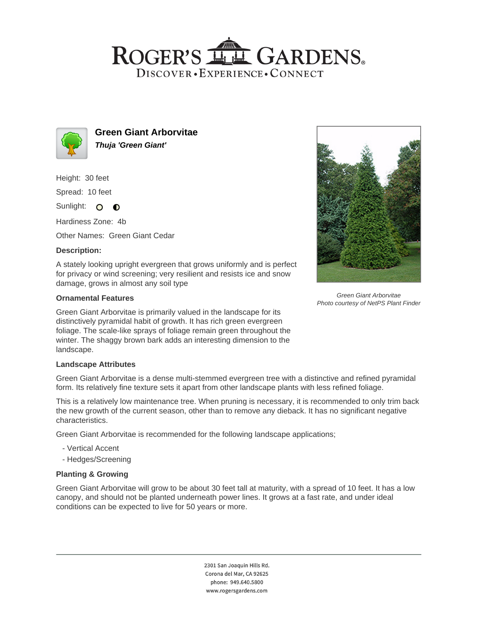# ROGER'S LL GARDENS. DISCOVER · EXPERIENCE · CONNECT



**Green Giant Arborvitae Thuja 'Green Giant'**

Height: 30 feet

Spread: 10 feet

Sunlight: O **O** 

Hardiness Zone: 4b

Other Names: Green Giant Cedar

### **Description:**

A stately looking upright evergreen that grows uniformly and is perfect for privacy or wind screening; very resilient and resists ice and snow damage, grows in almost any soil type

### **Ornamental Features**

Green Giant Arborvitae is primarily valued in the landscape for its distinctively pyramidal habit of growth. It has rich green evergreen foliage. The scale-like sprays of foliage remain green throughout the winter. The shaggy brown bark adds an interesting dimension to the landscape.

#### **Landscape Attributes**

Green Giant Arborvitae is a dense multi-stemmed evergreen tree with a distinctive and refined pyramidal form. Its relatively fine texture sets it apart from other landscape plants with less refined foliage.

This is a relatively low maintenance tree. When pruning is necessary, it is recommended to only trim back the new growth of the current season, other than to remove any dieback. It has no significant negative characteristics.

Green Giant Arborvitae is recommended for the following landscape applications;

- Vertical Accent
- Hedges/Screening

## **Planting & Growing**

Green Giant Arborvitae will grow to be about 30 feet tall at maturity, with a spread of 10 feet. It has a low canopy, and should not be planted underneath power lines. It grows at a fast rate, and under ideal conditions can be expected to live for 50 years or more.

> 2301 San Joaquin Hills Rd. Corona del Mar, CA 92625 phone: 949.640.5800 www.rogersgardens.com



Green Giant Arborvitae Photo courtesy of NetPS Plant Finder